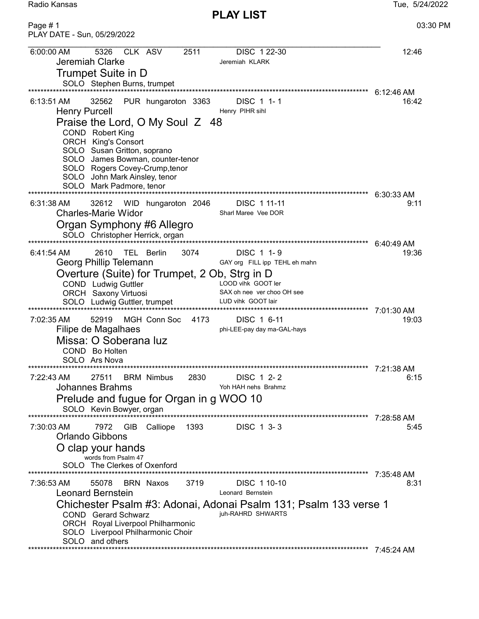PLAY LIST

Radio Kansas Tue, 5/24/2022

Page # 1 03:30 PM PLAY DATE - Sun, 05/29/2022 6:00:00 AM 5326 CLK ASV 2511 DISC 1 22-30 12:46 Jeremiah Clarke **Jeremiah KLARK** Trumpet Suite in D SOLO Stephen Burns, trumpet \*\*\*\*\*\*\*\*\*\*\*\*\*\*\*\*\*\*\*\*\*\*\*\*\*\*\*\*\*\*\*\*\*\*\*\*\*\*\*\*\*\*\*\*\*\*\*\*\*\*\*\*\*\*\*\*\*\*\*\*\*\*\*\*\*\*\*\*\*\*\*\*\*\*\*\*\*\*\*\*\*\*\*\*\*\*\*\*\*\*\*\*\*\*\*\*\*\*\*\*\*\*\*\*\*\*\*\*\*\* 6:12:46 AM 6:13:51 AM 32562 PUR hungaroton 3363 DISC 1 1-1 Henry Purcell **Henry PIHR** sihl Praise the Lord, O My Soul Z 48 COND Robert King ORCH King's Consort SOLO Susan Gritton, soprano SOLO James Bowman, counter-tenor SOLO Rogers Covey-Crump,tenor SOLO John Mark Ainsley, tenor SOLO Mark Padmore, tenor \*\*\*\*\*\*\*\*\*\*\*\*\*\*\*\*\*\*\*\*\*\*\*\*\*\*\*\*\*\*\*\*\*\*\*\*\*\*\*\*\*\*\*\*\*\*\*\*\*\*\*\*\*\*\*\*\*\*\*\*\*\*\*\*\*\*\*\*\*\*\*\*\*\*\*\*\*\*\*\*\*\*\*\*\*\*\*\*\*\*\*\*\*\*\*\*\*\*\*\*\*\*\*\*\*\*\*\*\*\* 6:30:33 AM 6:31:38 AM 32612 WID hungaroton 2046 DISC 1 11-11 9:11 Charles-Marie Widor Sharl Maree Vee DOR Organ Symphony #6 Allegro SOLO Christopher Herrick, organ \*\*\*\*\*\*\*\*\*\*\*\*\*\*\*\*\*\*\*\*\*\*\*\*\*\*\*\*\*\*\*\*\*\*\*\*\*\*\*\*\*\*\*\*\*\*\*\*\*\*\*\*\*\*\*\*\*\*\*\*\*\*\*\*\*\*\*\*\*\*\*\*\*\*\*\*\*\*\*\*\*\*\*\*\*\*\*\*\*\*\*\*\*\*\*\*\*\*\*\*\*\*\*\*\*\*\*\*\*\* 6:40:49 AM 6:41:54 AM 2610 TEL Berlin 3074 DISC 1 1-9<br>
Georg Phillip Telemann GAY org FILL ipp TEHL eh mahn Georg Phillip Telemann Overture (Suite) for Trumpet, 2 Ob, Strg in D<br>COND, Ludwig Guttler LOOD vihk GOOT ler COND Ludwig Guttler LOOD vihk GOOT ler<br>
ORCH Saxony Virtuosi SAX oh nee ver choo OH see ORCH Saxony Virtuosi SAX oh nee ver choo OH see SOLO Ludwig Guttler, trumpet LUD vihk GOOT lair \*\*\*\*\*\*\*\*\*\*\*\*\*\*\*\*\*\*\*\*\*\*\*\*\*\*\*\*\*\*\*\*\*\*\*\*\*\*\*\*\*\*\*\*\*\*\*\*\*\*\*\*\*\*\*\*\*\*\*\*\*\*\*\*\*\*\*\*\*\*\*\*\*\*\*\*\*\*\*\*\*\*\*\*\*\*\*\*\*\*\*\*\*\*\*\*\*\*\*\*\*\*\*\*\*\*\*\*\*\* 7:01:30 AM 7:02:35 AM 52919 MGH Conn Soc 4173 DISC 1 6-11 19:03 Filipe de Magalhaes phi-LEE-pay day ma-GAL-hays Missa: O Soberana luz COND Bo Holten SOLO Ars Nova \*\*\*\*\*\*\*\*\*\*\*\*\*\*\*\*\*\*\*\*\*\*\*\*\*\*\*\*\*\*\*\*\*\*\*\*\*\*\*\*\*\*\*\*\*\*\*\*\*\*\*\*\*\*\*\*\*\*\*\*\*\*\*\*\*\*\*\*\*\*\*\*\*\*\*\*\*\*\*\*\*\*\*\*\*\*\*\*\*\*\*\*\*\*\*\*\*\*\*\*\*\*\*\*\*\*\*\*\*\* 7:21:38 AM 7:22:43 AM 27511 BRM Nimbus 2830 DISC 1 2- 2 6:15 Johannes Brahms **Yoh HAH nehs** Brahmz Prelude and fugue for Organ in g WOO 10 SOLO Kevin Bowyer, organ \*\*\*\*\*\*\*\*\*\*\*\*\*\*\*\*\*\*\*\*\*\*\*\*\*\*\*\*\*\*\*\*\*\*\*\*\*\*\*\*\*\*\*\*\*\*\*\*\*\*\*\*\*\*\*\*\*\*\*\*\*\*\*\*\*\*\*\*\*\*\*\*\*\*\*\*\*\*\*\*\*\*\*\*\*\*\*\*\*\*\*\*\*\*\*\*\*\*\*\*\*\*\*\*\*\*\*\*\*\* 7:28:58 AM 7:30:03 AM 7972 GIB Calliope 1393 DISC 1 3- 3 5:45 Orlando Gibbons O clap your hands words from Psalm 47 SOLO The Clerkes of Oxenford \*\*\*\*\*\*\*\*\*\*\*\*\*\*\*\*\*\*\*\*\*\*\*\*\*\*\*\*\*\*\*\*\*\*\*\*\*\*\*\*\*\*\*\*\*\*\*\*\*\*\*\*\*\*\*\*\*\*\*\*\*\*\*\*\*\*\*\*\*\*\*\*\*\*\*\*\*\*\*\*\*\*\*\*\*\*\*\*\*\*\*\*\*\*\*\*\*\*\*\*\*\*\*\*\*\*\*\*\*\* 7:35:48 AM 7:36:53 AM 55078 BRN Naxos 3719 DISC 1 10-10 8:31 Leonard Bernstein Chichester Psalm #3: Adonai, Adonai Psalm 131; Psalm 133 verse 1 COND Gerard Schwarz ORCH Royal Liverpool Philharmonic SOLO Liverpool Philharmonic Choir SOLO and others \*\*\*\*\*\*\*\*\*\*\*\*\*\*\*\*\*\*\*\*\*\*\*\*\*\*\*\*\*\*\*\*\*\*\*\*\*\*\*\*\*\*\*\*\*\*\*\*\*\*\*\*\*\*\*\*\*\*\*\*\*\*\*\*\*\*\*\*\*\*\*\*\*\*\*\*\*\*\*\*\*\*\*\*\*\*\*\*\*\*\*\*\*\*\*\*\*\*\*\*\*\*\*\*\*\*\*\*\*\* 7:45:24 AM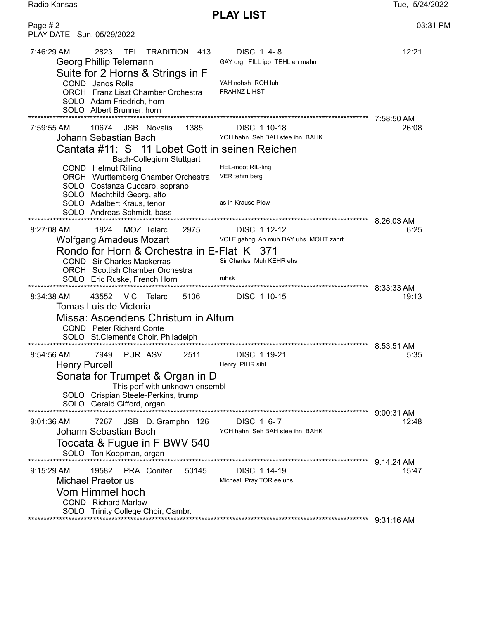PLAY LIST

Radio Kansas **Tue, 5/24/2022** 

| Page #2<br>PLAY DATE - Sun, 05/29/2022                                                                                                                                                                                                                                                                                                                                                                                                  | 03:31 PM            |
|-----------------------------------------------------------------------------------------------------------------------------------------------------------------------------------------------------------------------------------------------------------------------------------------------------------------------------------------------------------------------------------------------------------------------------------------|---------------------|
| 2823<br>7:46:29 AM<br><b>TEL</b><br><b>TRADITION</b><br>DISC 1 4-8<br>-413<br>Georg Phillip Telemann<br>GAY org FILL ipp TEHL eh mahn<br>Suite for 2 Horns & Strings in F<br>YAH nohsh ROH luh<br>COND Janos Rolla<br><b>FRAHNZ LIHST</b><br><b>ORCH</b> Franz Liszt Chamber Orchestra<br>SOLO Adam Friedrich, horn<br>SOLO Albert Brunner, horn                                                                                        | 12:21               |
| 7:59:55 AM<br>10674<br><b>JSB</b> Novalis<br>1385<br>DISC 1 10-18<br>Johann Sebastian Bach<br>YOH hahn Seh BAH stee ihn BAHK<br>Cantata #11: S 11 Lobet Gott in seinen Reichen<br>Bach-Collegium Stuttgart<br>COND Helmut Rilling<br><b>HEL-moot RIL-ling</b><br>ORCH Wurttemberg Chamber Orchestra<br>VER tehm berg<br>SOLO Costanza Cuccaro, soprano<br>SOLO Mechthild Georg, alto<br>as in Krause Plow<br>SOLO Adalbert Kraus, tenor | 7:58:50 AM<br>26:08 |
| SOLO Andreas Schmidt, bass<br>********************************<br>********************************<br>$8:27:08$ AM<br>1824<br>MOZ Telarc<br>2975<br>DISC 1 12-12<br>Wolfgang Amadeus Mozart<br>VOLF gahng Ah muh DAY uhs MOHT zahrt<br>Rondo for Horn & Orchestra in E-Flat K 371<br>Sir Charles Muh KEHR ehs<br><b>COND</b> Sir Charles Mackerras<br>ORCH Scottish Chamber Orchestra<br>ruhsk<br>SOLO Eric Ruske, French Horn          | 8:26:03 AM<br>6:25  |
| 8:34:38 AM<br>5106<br>DISC 1 10-15<br>43552<br>VIC.<br>Telarc<br>Tomas Luis de Victoria<br>Missa: Ascendens Christum in Altum<br><b>COND</b> Peter Richard Conte<br>SOLO St.Clement's Choir, Philadelph                                                                                                                                                                                                                                 | 8:33:33 AM<br>19:13 |
| PUR ASV<br>2511<br>$8:54:56$ AM<br>7949<br>DISC 1 19-21<br><b>Henry Purcell</b><br>Henry PIHR sihl<br>Sonata for Trumpet & Organ in D<br>This perf with unknown ensembl<br>SOLO Crispian Steele-Perkins, trump<br>SOLO Gerald Gifford, organ                                                                                                                                                                                            | 8:53:51 AM<br>5:35  |
| DISC 1 6-7<br>9:01:36 AM<br>7267<br>JSB<br>D. Gramphn 126<br>Johann Sebastian Bach<br>YOH hahn Seh BAH stee ihn BAHK<br>Toccata & Fugue in F BWV 540<br>SOLO Ton Koopman, organ                                                                                                                                                                                                                                                         | 9:00:31 AM<br>12:48 |
| ************************<br>$9:15:29$ AM<br>19582<br>PRA Conifer<br>DISC 1 14-19<br>50145<br><b>Michael Praetorius</b><br>Micheal Pray TOR ee uhs<br>Vom Himmel hoch<br><b>COND</b> Richard Marlow<br>SOLO Trinity College Choir, Cambr.                                                                                                                                                                                                | 9:14:24 AM<br>15:47 |
|                                                                                                                                                                                                                                                                                                                                                                                                                                         | 9:31:16 AM          |